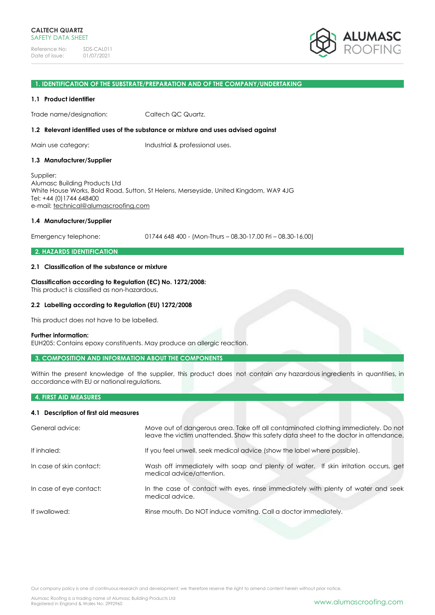

#### **1. IDENTIFICATION OF THE SUBSTRATE/PREPARATION AND OF THE COMPANY/UNDERTAKING**

#### **1.1 Product identifier**

Trade name/designation: Caltech QC Quartz.

#### **1.2 Relevant identified uses of the substance or mixture and uses advised against**

Main use category: Industrial & professional uses.

#### **1.3 Manufacturer/Supplier**

Supplier: Alumasc Building Products Ltd White House Works, Bold Road, Sutton, St Helens, Merseyside, United Kingdom, WA9 4JG Tel: +44 (0)1744 648400 e-mail: [technical@alumascroofing.com](mailto:technical@alumascroofing.com)

#### **1.4 Manufacturer/Supplier**

Emergency telephone: 01744 648 400 - (Mon-Thurs – 08.30-17.00 Fri – 08.30-16.00)

# **2. HAZARDS IDENTIFICATION**

## **2.1 Classification of the substance or mixture**

# **Classification according to Regulation (EC) No. 1272/2008:**

This product is classified as non-hazardous.

# **2.2 Labelling according to Regulation (EU) 1272/2008**

This product does not have to be labelled.

#### **Further information:**

EUH205: Contains epoxy constituents. May produce an allergic reaction.

#### **3. COMPOSITION AND INFORMATION ABOUT THE COMPONENTS**

Within the present knowledge of the supplier, this product does not contain any hazardous ingredients in quantities, in accordance with EU or national regulations.

# **4. FIRST AID MEASURES**

# **4.1 Description of first aid measures**

| General advice:          | Move out of dangerous area. Take off all contaminated clothing immediately. Do not<br>leave the victim unattended. Show this safety data sheet to the doctor in attendance. |
|--------------------------|-----------------------------------------------------------------------------------------------------------------------------------------------------------------------------|
| If inhaled:              | If you feel unwell, seek medical advice (show the label where possible).                                                                                                    |
| In case of skin contact: | Wash off immediately with soap and plenty of water. If skin irritation occurs, get<br>medical advice/attention.                                                             |
| In case of eye contact:  | In the case of contact with eyes, rinse immediately with plenty of water and seek<br>medical advice.                                                                        |
| If swallowed:            | Rinse mouth. Do NOT induce vomiting. Call a doctor immediately.                                                                                                             |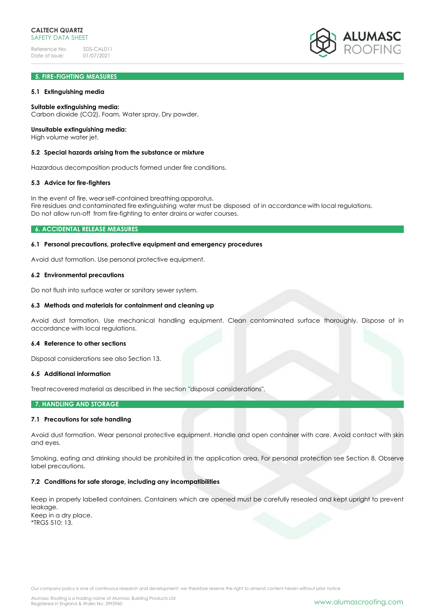

# **5. FIRE-FIGHTING MEASURES**

## **5.1 Extinguishing media**

## **Suitable extinguishing media:**

Carbon dioxide (CO2), Foam, Water spray, Dry powder.

#### **Unsuitable extinguishing media:**

High volume water jet.

## **5.2 Special hazards arising from the substance or mixture**

Hazardous decomposition products formed under fire conditions.

#### **5.3 Advice for fire-fighters**

In the event of fire, wearself-contained breathing apparatus. Fire residues and contaminated fire extinguishing water must be disposed of in accordance with local regulations. Do not allow run-off from fire-fighting to enter drains or water courses.

## **6. ACCIDENTAL RELEASE MEASURES**

## **6.1 Personal precautions, protective equipment and emergency procedures**

Avoid dust formation. Use personal protective equipment.

# **6.2 Environmental precautions**

Do not flush into surface water or sanitary sewer system.

## **6.3 Methods and materials for containment and cleaning up**

Avoid dust formation. Use mechanical handling equipment. Clean contaminated surface thoroughly. Dispose of in accordance with local regulations.

#### **6.4 Reference to other sections**

Disposal considerations see also Section 13.

# **6.5 Additional information**

Treat recovered material as described in the section "disposal considerations".

# **7. HANDLING AND STORAGE**

# **7.1 Precautions for safe handling**

Avoid dust formation. Wear personal protective equipment. Handle and open container with care. Avoid contact with skin and eyes.

Smoking, eating and drinking should be prohibited in the application area. For personal protection see Section 8. Observe label precautions.

# **7.2 Conditions for safe storage, including any incompatibilities**

Keep in properly labelled containers. Containers which are opened must be carefully resealed and kept upright to prevent leakage. Keep in a dry place. \*TRGS 510: 13.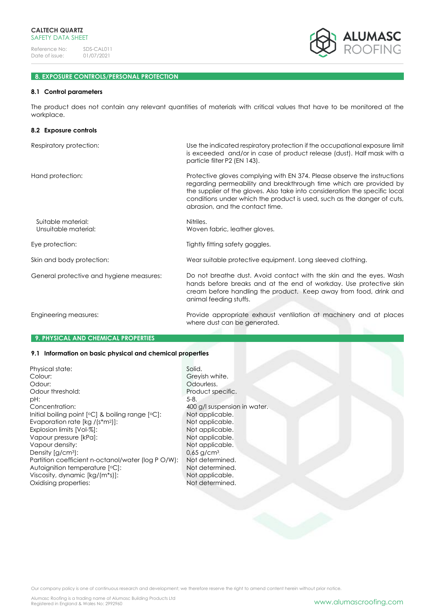

# **8. EXPOSURE CONTROLS/PERSONAL PROTECTION**

#### **8.1 Control parameters**

The product does not contain any relevant quantities of materials with critical values that have to be monitored at the workplace.

| 8.2 Exposure controls                      |                                                                                                                                                                                                                                                                                                                                             |  |
|--------------------------------------------|---------------------------------------------------------------------------------------------------------------------------------------------------------------------------------------------------------------------------------------------------------------------------------------------------------------------------------------------|--|
| Respiratory protection:                    | Use the indicated respiratory protection if the occupational exposure limit<br>is exceeded and/or in case of product release (dust). Half mask with a<br>particle filter P2 (EN 143).                                                                                                                                                       |  |
| Hand protection:                           | Protective gloves complying with EN 374. Please observe the instructions<br>regarding permeability and breakthrough time which are provided by<br>the supplier of the gloves. Also take into consideration the specific local<br>conditions under which the product is used, such as the danger of cuts,<br>abrasion, and the contact time. |  |
| Suitable material:<br>Unsuitable material: | Nitriles.<br>Woven fabric, leather gloves.                                                                                                                                                                                                                                                                                                  |  |
| Eye protection:                            | Tightly fitting safety goggles.                                                                                                                                                                                                                                                                                                             |  |
| Skin and body protection:                  | Wear suitable protective equipment. Long sleeved clothing.                                                                                                                                                                                                                                                                                  |  |
| General protective and hygiene measures:   | Do not breathe dust. Avoid contact with the skin and the eyes. Wash<br>hands before breaks and at the end of workday. Use protective skin<br>cream before handling the product. Keep away from food, drink and<br>animal feeding stuffs.                                                                                                    |  |
| Engineering measures:                      | Provide appropriate exhaust ventilation at machinery and at places<br>where dust can be generated.                                                                                                                                                                                                                                          |  |

# **9. PHYSICAL AND CHEMICAL PROPERTIES**

# **9.1 Information on basic physical and chemical properties**

| Physical state:                                       | Solid.                   |
|-------------------------------------------------------|--------------------------|
| Colour:                                               | Greyish whi              |
| Odour:                                                | Odourless.               |
| Odour threshold:                                      | Product spe              |
| pH:                                                   | $5-8.$                   |
| Concentration:                                        | 400 g/l susp             |
| Initial boiling point $[°C]$ & boiling range $[°C]$ : | Not applice              |
| Evaporation rate $[kg / (s*m2)]$ :                    | Not applice              |
| Explosion limits [Vol-%]:                             | Not applice              |
| Vapour pressure [kPa]:                                | Not applice              |
| Vapour density:                                       | Not applice              |
| Density $[q/cm3)$ :                                   | $0.65$ g/cm <sup>3</sup> |
| Partition coefficient n-octanol/water (log P O/W):    | Not determ               |
| Autoignition temperature [°C]:                        | Not determ               |
| Viscosity, dynamic [kg/(m*s)]:                        | Not applice              |
| Oxidising properties:                                 | Not determ               |
|                                                       |                          |

Greyish white. Odourless. Product specific.<br>5-8. 400 g/l suspension in water. Not applicable. Not applicable. Not applicable. Not applicable. Not applicable. Not determined. Not determined. Not applicable. Not determined.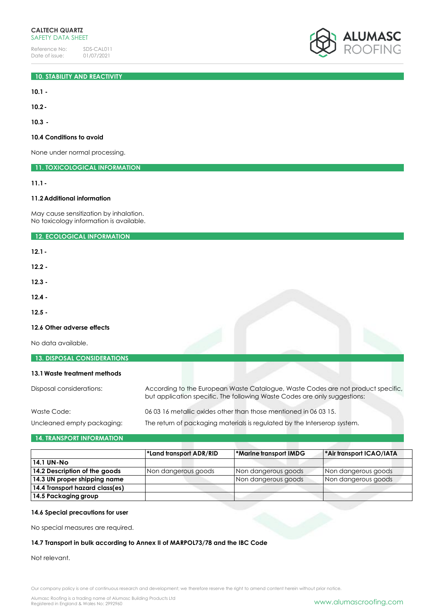# **10. STABILITY AND REACTIVITY**

**10.1 -**

**10.2-**

**10.3 -**

# **10.4 Conditions to avoid**

None under normal processing.

**11. TOXICOLOGICAL INFORMATION**

**11.1-**

# **11.2Additional information**

May cause sensitization by inhalation. No toxicology information is available.

**12. ECOLOGICAL INFORMATION**

**12.1-**

**12.2 -**

**12.3 -**

**12.4 -**

**12.5 -**

# **12.6 Other adverse effects**

No data available.

| <b>13. DISPOSAL CONSIDERATIONS</b> |                                                                                                                                                               |  |
|------------------------------------|---------------------------------------------------------------------------------------------------------------------------------------------------------------|--|
| 13.1 Waste treatment methods       |                                                                                                                                                               |  |
| Disposal considerations:           | According to the European Waste Catalogue, Waste Codes are not product specific,<br>but application specific. The following Waste Codes are only suggestions: |  |
| Waste Code:                        | 06 03 16 metallic oxides other than those mentioned in 06 03 15.                                                                                              |  |
| Uncleaned empty packaging:         | The return of packaging materials is regulated by the Interserop system.                                                                                      |  |

# **14. TRANSPORT INFORMATION**

|                                 | *Land transport ADR/RID | <b>*Marine transport IMDG</b> | <b>Air transport ICAO/IATA</b> |
|---------------------------------|-------------------------|-------------------------------|--------------------------------|
| 14.1 UN-No                      |                         |                               |                                |
| 14.2 Description of the goods   | Non dangerous goods     | Non dangerous goods           | Non dangerous goods            |
| 14.3 UN proper shipping name    |                         | Non dangerous goods           | Non dangerous goods            |
| 14.4 Transport hazard class(es) |                         |                               |                                |
| 14.5 Packaging group            |                         |                               |                                |

# **14.6 Special precautions for user**

No special measures are required.

# **14.7 Transport in bulk according to Annex II of MARPOL73/78 and the IBC Code**

Not relevant.